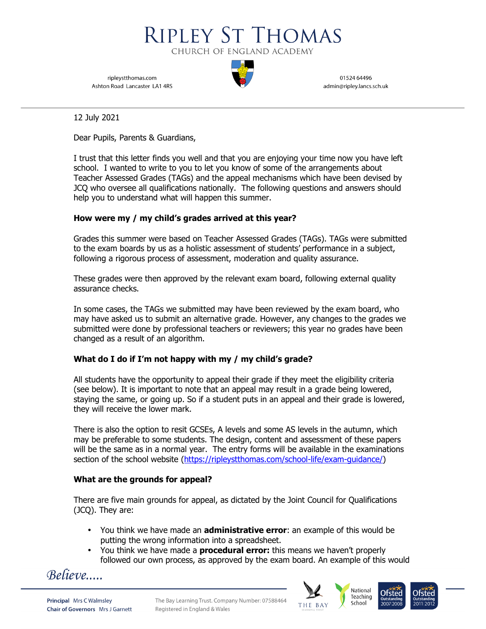

ripleystthomas.com Ashton Road Lancaster LA1 4RS

01524 64496 admin@ripley.lancs.sch.uk

> National Teaching

School

12 July 2021

Dear Pupils, Parents & Guardians,

I trust that this letter finds you well and that you are enjoying your time now you have left school. I wanted to write to you to let you know of some of the arrangements about Teacher Assessed Grades (TAGs) and the appeal mechanisms which have been devised by JCQ who oversee all qualifications nationally. The following questions and answers should help you to understand what will happen this summer.

# **How were my / my child's grades arrived at this year?**

Grades this summer were based on Teacher Assessed Grades (TAGs). TAGs were submitted to the exam boards by us as a holistic assessment of students' performance in a subject, following a rigorous process of assessment, moderation and quality assurance.

These grades were then approved by the relevant exam board, following external quality assurance checks.

In some cases, the TAGs we submitted may have been reviewed by the exam board, who may have asked us to submit an alternative grade. However, any changes to the grades we submitted were done by professional teachers or reviewers; this year no grades have been changed as a result of an algorithm.

## **What do I do if I'm not happy with my / my child's grade?**

All students have the opportunity to appeal their grade if they meet the eligibility criteria (see below). It is important to note that an appeal may result in a grade being lowered, staying the same, or going up. So if a student puts in an appeal and their grade is lowered, they will receive the lower mark.

There is also the option to resit GCSEs, A levels and some AS levels in the autumn, which may be preferable to some students. The design, content and assessment of these papers will be the same as in a normal year. The entry forms will be available in the examinations section of the school website (https://ripleystthomas.com/school-life/exam-guidance/)

## **What are the grounds for appeal?**

There are five main grounds for appeal, as dictated by the Joint Council for Qualifications (JCQ). They are:

- You think we have made an **administrative error**: an example of this would be putting the wrong information into a spreadsheet.
- You think we have made a **procedural error:** this means we haven't properly followed our own process, as approved by the exam board. An example of this would



**Principal Mrs C Walmsley Chair of Governors** Mrs J Garnett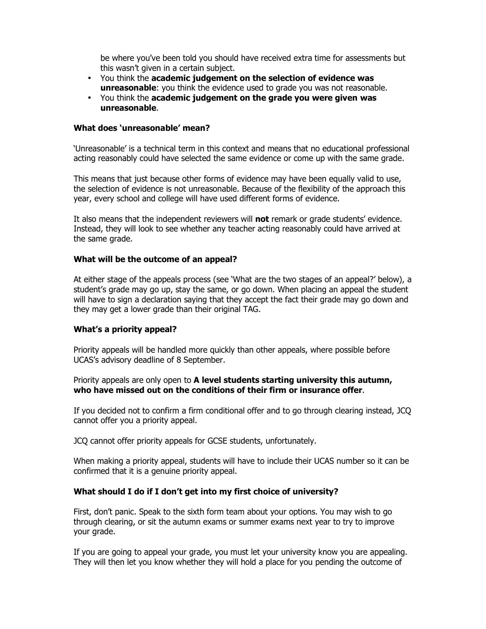be where you've been told you should have received extra time for assessments but this wasn't given in a certain subject.

- You think the **academic judgement on the selection of evidence was unreasonable**: you think the evidence used to grade you was not reasonable.
- You think the **academic judgement on the grade you were given was unreasonable**.

### **What does 'unreasonable' mean?**

'Unreasonable' is a technical term in this context and means that no educational professional acting reasonably could have selected the same evidence or come up with the same grade.

This means that just because other forms of evidence may have been equally valid to use, the selection of evidence is not unreasonable. Because of the flexibility of the approach this year, every school and college will have used different forms of evidence.

It also means that the independent reviewers will **not** remark or grade students' evidence. Instead, they will look to see whether any teacher acting reasonably could have arrived at the same grade.

### **What will be the outcome of an appeal?**

At either stage of the appeals process (see 'What are the two stages of an appeal?' below), a student's grade may go up, stay the same, or go down. When placing an appeal the student will have to sign a declaration saying that they accept the fact their grade may go down and they may get a lower grade than their original TAG.

## **What's a priority appeal?**

Priority appeals will be handled more quickly than other appeals, where possible before UCAS's advisory deadline of 8 September.

Priority appeals are only open to **A level students starting university this autumn, who have missed out on the conditions of their firm or insurance offer**.

If you decided not to confirm a firm conditional offer and to go through clearing instead, JCQ cannot offer you a priority appeal.

JCQ cannot offer priority appeals for GCSE students, unfortunately.

When making a priority appeal, students will have to include their UCAS number so it can be confirmed that it is a genuine priority appeal.

## **What should I do if I don't get into my first choice of university?**

First, don't panic. Speak to the sixth form team about your options. You may wish to go through clearing, or sit the autumn exams or summer exams next year to try to improve your grade.

If you are going to appeal your grade, you must let your university know you are appealing. They will then let you know whether they will hold a place for you pending the outcome of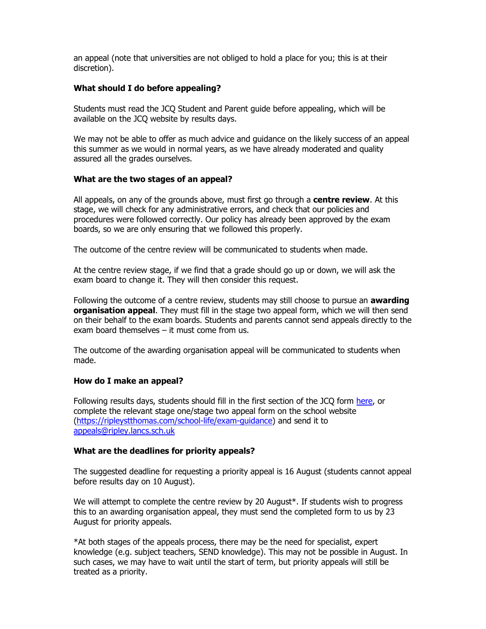an appeal (note that universities are not obliged to hold a place for you; this is at their discretion).

### **What should I do before appealing?**

Students must read the JCQ Student and Parent guide before appealing, which will be available on the JCQ website by results days.

We may not be able to offer as much advice and guidance on the likely success of an appeal this summer as we would in normal years, as we have already moderated and quality assured all the grades ourselves.

### **What are the two stages of an appeal?**

All appeals, on any of the grounds above, must first go through a **centre review**. At this stage, we will check for any administrative errors, and check that our policies and procedures were followed correctly. Our policy has already been approved by the exam boards, so we are only ensuring that we followed this properly.

The outcome of the centre review will be communicated to students when made.

At the centre review stage, if we find that a grade should go up or down, we will ask the exam board to change it. They will then consider this request.

Following the outcome of a centre review, students may still choose to pursue an **awarding organisation appeal**. They must fill in the stage two appeal form, which we will then send on their behalf to the exam boards. Students and parents cannot send appeals directly to the exam board themselves – it must come from us.

The outcome of the awarding organisation appeal will be communicated to students when made.

#### **How do I make an appeal?**

Following results days, students should fill in the first section of the JCQ form here, or complete the relevant stage one/stage two appeal form on the school website (https://ripleystthomas.com/school-life/exam-guidance) and send it to appeals@ripley.lancs.sch.uk

#### **What are the deadlines for priority appeals?**

The suggested deadline for requesting a priority appeal is 16 August (students cannot appeal before results day on 10 August).

We will attempt to complete the centre review by 20 August\*. If students wish to progress this to an awarding organisation appeal, they must send the completed form to us by 23 August for priority appeals.

\*At both stages of the appeals process, there may be the need for specialist, expert knowledge (e.g. subject teachers, SEND knowledge). This may not be possible in August. In such cases, we may have to wait until the start of term, but priority appeals will still be treated as a priority.